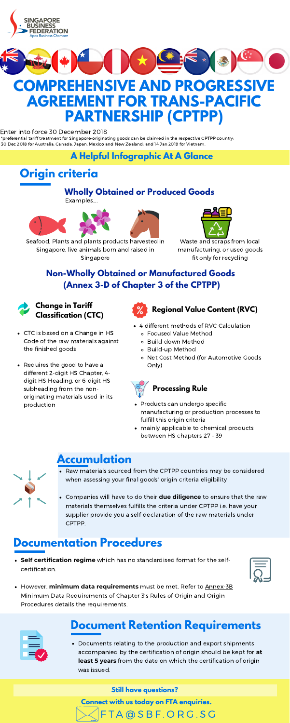F T A @ S B F . O R G . S G





- Raw materials sourced from the CPTPP countries may be considered when assessing your final goods' origin criteria eligibility
- Companies will have to do their **due diligence** to ensure that the raw materials themselves fulfills the criteria under CPTPP i.e. have your supplier provide you a self-declaration of the raw materials under CPTPP.

**Connect with us today on FTA enquiries.**



## **Wholly Obtained or Produced Goods**

**Self certification regime** which has no standardised format for the selfcertification.



Seafood, Plants and plants products harvested in Singapore, live animals born and raised in **Singapore** 

However, **minimum data requirements** must be met. Refer to [Annex-3B](https://www.enterprisesg.gov.sg/-/media/ESG/Files/Non-Financial-Assistance/For-Companies/Free-Trade-Agreements/CPTPP/Chapters/3RulesofOriginandOriginProcedures.pdf) Minimum Data Requirements of Chapter 3's Rules of Origin and Origin Procedures details the requirements.



# **Documentation Procedures**

# **Accumulation**

# **A Helpful Infographic At A Glance**

#### **Still have questions?**

#### Enter into force 30 December 2018

Documents relating to the production and export shipments accompanied by the certification of origin should be kept for **at least 5 years** from the date on which the certification of origin was issued.

#### • Products can undergo specific manufacturing or production processes to fulfill this origin criteria

# **Document Retention Requirements**

## **Non-Wholly Obtained or Manufactured Goods (Annex 3-D of Chapter 3 of the CPTPP)**

Examples....











#### **Regional Value Content (RVC)**

\*preferential tariff treatment for Singapore-originating goods can be claimed in the respective CPTPP country: 30 Dec 2018 for Australia, Canada, Japan, Mexico and New Zealand; and 14 Jan 2019 for Vietnam.

- CTC is based on a Change in HS Code of the raw materials against the finished goods
- Requires the good to have a different 2-digit HS Chapter, 4 digit HS Heading, or 6-digit HS subheading from the nonoriginating materials used in its production



- 4 different methods of RVC Calculation
	- Focused Value Method
	- Build-down Method
	- Build-up Method
	- Net Cost Method (for Automotive Goods Only)

mainly applicable to chemical products